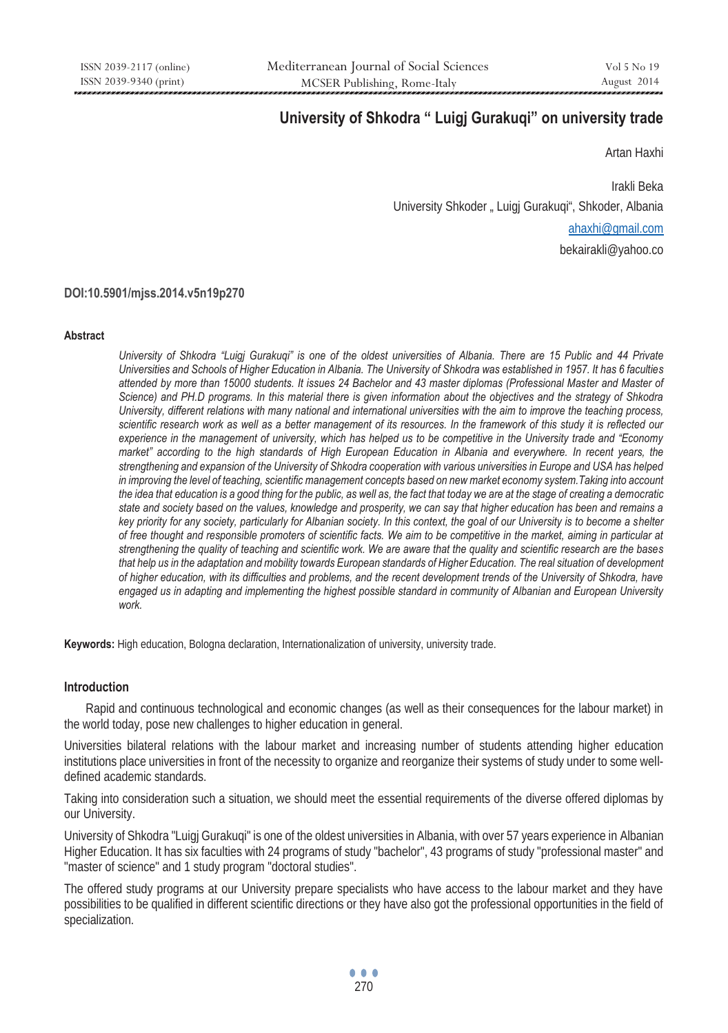# **University of Shkodra " Luigj Gurakuqi" on university trade**

Artan Haxhi

 Irakli Beka University Shkoder "Luigi Gurakugi", Shkoder, Albania ahaxhi@gmail.com bekairakli@yahoo.co

# **DOI:10.5901/mjss.2014.v5n19p270**

#### **Abstract**

*University of Shkodra "Luigj Gurakuqi" is one of the oldest universities of Albania. There are 15 Public and 44 Private Universities and Schools of Higher Education in Albania. The University of Shkodra was established in 1957. It has 6 faculties attended by more than 15000 students. It issues 24 Bachelor and 43 master diplomas (Professional Master and Master of Science) and PH.D programs. In this material there is given information about the objectives and the strategy of Shkodra University, different relations with many national and international universities with the aim to improve the teaching process, scientific research work as well as a better management of its resources. In the framework of this study it is reflected our experience in the management of university, which has helped us to be competitive in the University trade and "Economy market"* according to the high standards of High European Education in Albania and everywhere. In recent years, the *strengthening and expansion of the University of Shkodra cooperation with various universities in Europe and USA has helped*  in improving the level of teaching, scientific management concepts based on new market economy system. Taking into account *the idea that education is a good thing for the public, as well as, the fact that today we are at the stage of creating a democratic state and society based on the values, knowledge and prosperity, we can say that higher education has been and remains a key priority for any society, particularly for Albanian society. In this context, the goal of our University is to become a shelter of free thought and responsible promoters of scientific facts. We aim to be competitive in the market, aiming in particular at strengthening the quality of teaching and scientific work. We are aware that the quality and scientific research are the bases*  that help us in the adaptation and mobility towards European standards of Higher Education. The real situation of development *of higher education, with its difficulties and problems, and the recent development trends of the University of Shkodra, have*  engaged us in adapting and implementing the highest possible standard in community of Albanian and European University *work.* 

**Keywords:** High education, Bologna declaration, Internationalization of university, university trade.

#### **Introduction**

 Rapid and continuous technological and economic changes (as well as their consequences for the labour market) in the world today, pose new challenges to higher education in general.

Universities bilateral relations with the labour market and increasing number of students attending higher education institutions place universities in front of the necessity to organize and reorganize their systems of study under to some welldefined academic standards.

Taking into consideration such a situation, we should meet the essential requirements of the diverse offered diplomas by our University.

University of Shkodra "Luigj Gurakuqi" is one of the oldest universities in Albania, with over 57 years experience in Albanian Higher Education. It has six faculties with 24 programs of study "bachelor", 43 programs of study "professional master" and "master of science" and 1 study program "doctoral studies".

The offered study programs at our University prepare specialists who have access to the labour market and they have possibilities to be qualified in different scientific directions or they have also got the professional opportunities in the field of specialization.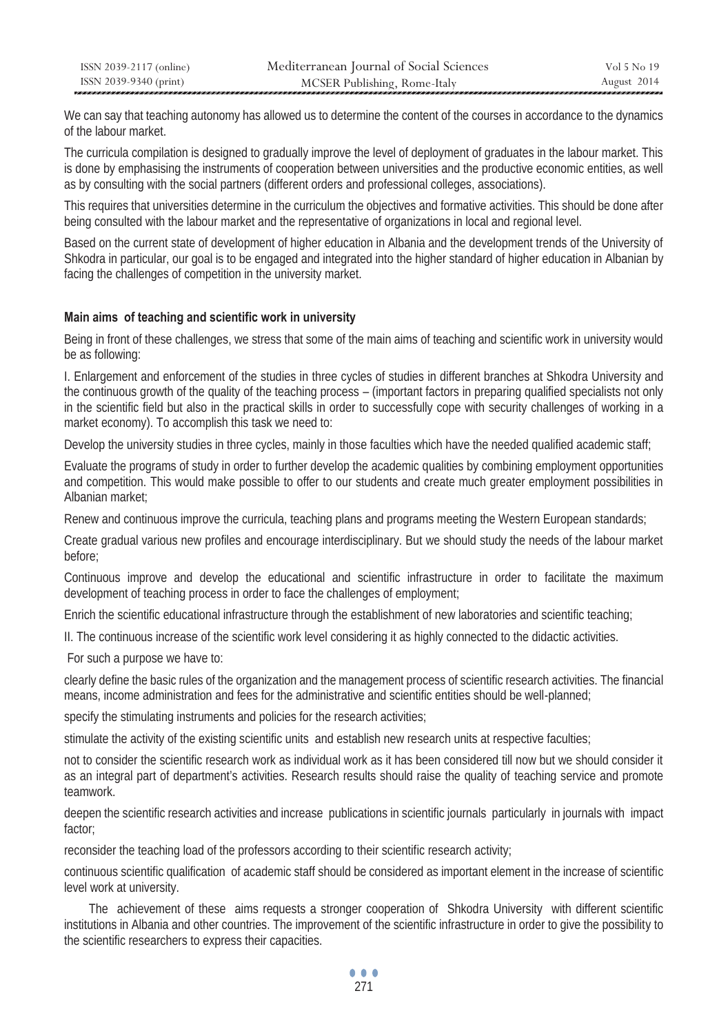| ISSN 2039-2117 (online) | Mediterranean Journal of Social Sciences | Vol 5 No 19 |
|-------------------------|------------------------------------------|-------------|
| ISSN 2039-9340 (print)  | MCSER Publishing, Rome-Italy             | August 2014 |

We can say that teaching autonomy has allowed us to determine the content of the courses in accordance to the dynamics of the labour market.

The curricula compilation is designed to gradually improve the level of deployment of graduates in the labour market. This is done by emphasising the instruments of cooperation between universities and the productive economic entities, as well as by consulting with the social partners (different orders and professional colleges, associations).

This requires that universities determine in the curriculum the objectives and formative activities. This should be done after being consulted with the labour market and the representative of organizations in local and regional level.

Based on the current state of development of higher education in Albania and the development trends of the University of Shkodra in particular, our goal is to be engaged and integrated into the higher standard of higher education in Albanian by facing the challenges of competition in the university market.

#### **Main aims of teaching and scientific work in university**

Being in front of these challenges, we stress that some of the main aims of teaching and scientific work in university would be as following:

I. Enlargement and enforcement of the studies in three cycles of studies in different branches at Shkodra University and the continuous growth of the quality of the teaching process – (important factors in preparing qualified specialists not only in the scientific field but also in the practical skills in order to successfully cope with security challenges of working in a market economy). To accomplish this task we need to:

Develop the university studies in three cycles, mainly in those faculties which have the needed qualified academic staff;

Evaluate the programs of study in order to further develop the academic qualities by combining employment opportunities and competition. This would make possible to offer to our students and create much greater employment possibilities in Albanian market;

Renew and continuous improve the curricula, teaching plans and programs meeting the Western European standards;

Create gradual various new profiles and encourage interdisciplinary. But we should study the needs of the labour market before;

Continuous improve and develop the educational and scientific infrastructure in order to facilitate the maximum development of teaching process in order to face the challenges of employment;

Enrich the scientific educational infrastructure through the establishment of new laboratories and scientific teaching;

II. The continuous increase of the scientific work level considering it as highly connected to the didactic activities.

For such a purpose we have to:

clearly define the basic rules of the organization and the management process of scientific research activities. The financial means, income administration and fees for the administrative and scientific entities should be well-planned;

specify the stimulating instruments and policies for the research activities;

stimulate the activity of the existing scientific units and establish new research units at respective faculties;

not to consider the scientific research work as individual work as it has been considered till now but we should consider it as an integral part of department's activities. Research results should raise the quality of teaching service and promote teamwork.

deepen the scientific research activities and increase publications in scientific journals particularly in journals with impact factor;

reconsider the teaching load of the professors according to their scientific research activity;

continuous scientific qualification of academic staff should be considered as important element in the increase of scientific level work at university.

 The achievement of these aims requests a stronger cooperation of Shkodra University with different scientific institutions in Albania and other countries. The improvement of the scientific infrastructure in order to give the possibility to the scientific researchers to express their capacities.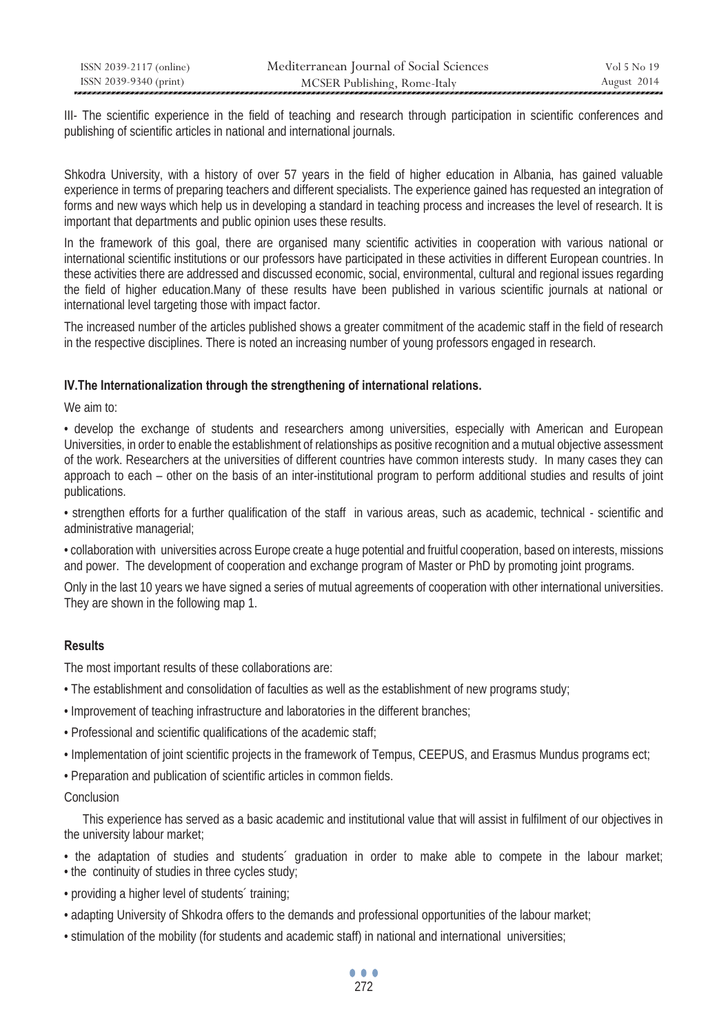| ISSN 2039-2117 (online) | Mediterranean Journal of Social Sciences | Vol 5 No 19 |
|-------------------------|------------------------------------------|-------------|
| ISSN 2039-9340 (print)  | MCSER Publishing, Rome-Italy             | August 2014 |

III- The scientific experience in the field of teaching and research through participation in scientific conferences and publishing of scientific articles in national and international journals.

Shkodra University, with a history of over 57 years in the field of higher education in Albania, has gained valuable experience in terms of preparing teachers and different specialists. The experience gained has requested an integration of forms and new ways which help us in developing a standard in teaching process and increases the level of research. It is important that departments and public opinion uses these results.

In the framework of this goal, there are organised many scientific activities in cooperation with various national or international scientific institutions or our professors have participated in these activities in different European countries. In these activities there are addressed and discussed economic, social, environmental, cultural and regional issues regarding the field of higher education.Many of these results have been published in various scientific journals at national or international level targeting those with impact factor.

The increased number of the articles published shows a greater commitment of the academic staff in the field of research in the respective disciplines. There is noted an increasing number of young professors engaged in research.

#### **IV.The Internationalization through the strengthening of international relations.**

We aim to:

• develop the exchange of students and researchers among universities, especially with American and European Universities, in order to enable the establishment of relationships as positive recognition and a mutual objective assessment of the work. Researchers at the universities of different countries have common interests study. In many cases they can approach to each – other on the basis of an inter-institutional program to perform additional studies and results of joint publications.

• strengthen efforts for a further qualification of the staff in various areas, such as academic, technical - scientific and administrative managerial;

• collaboration with universities across Europe create a huge potential and fruitful cooperation, based on interests, missions and power. The development of cooperation and exchange program of Master or PhD by promoting joint programs.

Only in the last 10 years we have signed a series of mutual agreements of cooperation with other international universities. They are shown in the following map 1.

## **Results**

The most important results of these collaborations are:

- The establishment and consolidation of faculties as well as the establishment of new programs study;
- Improvement of teaching infrastructure and laboratories in the different branches;
- Professional and scientific qualifications of the academic staff;
- Implementation of joint scientific projects in the framework of Tempus, CEEPUS, and Erasmus Mundus programs ect;
- Preparation and publication of scientific articles in common fields.

#### Conclusion

 This experience has served as a basic academic and institutional value that will assist in fulfilment of our objectives in the university labour market;

- the adaptation of studies and students´ graduation in order to make able to compete in the labour market;
- the continuity of studies in three cycles study; • providing a higher level of students´ training;
- adapting University of Shkodra offers to the demands and professional opportunities of the labour market;
- stimulation of the mobility (for students and academic staff) in national and international universities;